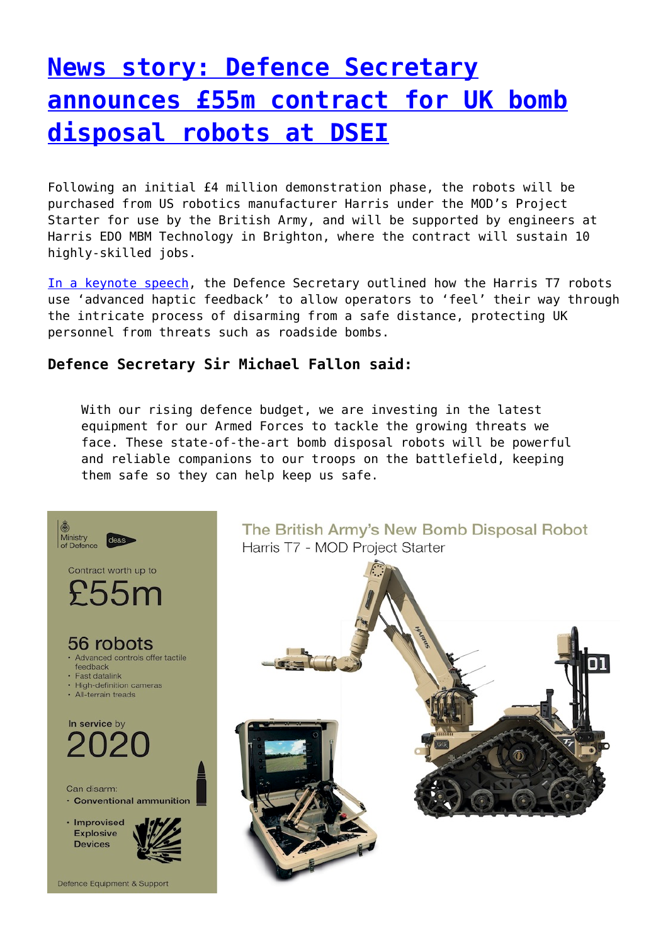# **[News story: Defence Secretary](http://www.government-world.com/news-story-defence-secretary-announces-55m-contract-for-uk-bomb-disposal-robots-at-dsei/) [announces £55m contract for UK bomb](http://www.government-world.com/news-story-defence-secretary-announces-55m-contract-for-uk-bomb-disposal-robots-at-dsei/) [disposal robots at DSEI](http://www.government-world.com/news-story-defence-secretary-announces-55m-contract-for-uk-bomb-disposal-robots-at-dsei/)**

Following an initial £4 million demonstration phase, the robots will be purchased from US robotics manufacturer Harris under the MOD's Project Starter for use by the British Army, and will be supported by engineers at Harris EDO MBM Technology in Brighton, where the contract will sustain 10 highly-skilled jobs.

[In a keynote speech](https://www.gov.uk/government/speeches/defence-secretary-keynote-speech-at-dsei-2017-13-september), the Defence Secretary outlined how the Harris T7 robots use 'advanced haptic feedback' to allow operators to 'feel' their way through the intricate process of disarming from a safe distance, protecting UK personnel from threats such as roadside bombs.

### **Defence Secretary Sir Michael Fallon said:**

With our rising defence budget, we are investing in the latest equipment for our Armed Forces to tackle the growing threats we face. These state-of-the-art bomb disposal robots will be powerful and reliable companions to our troops on the battlefield, keeping them safe so they can help keep us safe.



The British Army's New Bomb Disposal Robot Harris T7 - MOD Project Starter

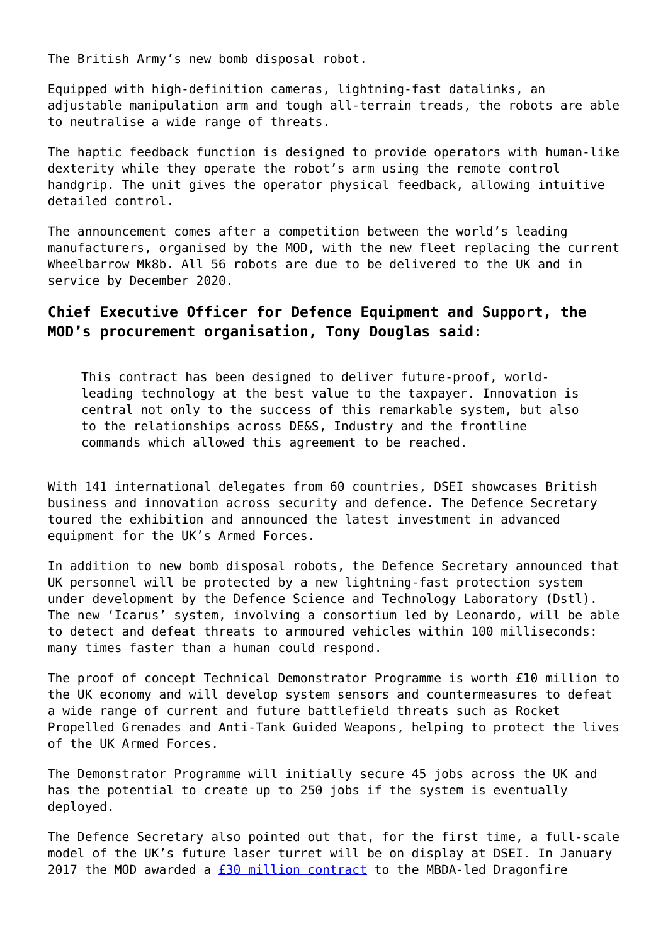The British Army's new bomb disposal robot.

Equipped with high-definition cameras, lightning-fast datalinks, an adjustable manipulation arm and tough all-terrain treads, the robots are able to neutralise a wide range of threats.

The haptic feedback function is designed to provide operators with human-like dexterity while they operate the robot's arm using the remote control handgrip. The unit gives the operator physical feedback, allowing intuitive detailed control.

The announcement comes after a competition between the world's leading manufacturers, organised by the MOD, with the new fleet replacing the current Wheelbarrow Mk8b. All 56 robots are due to be delivered to the UK and in service by December 2020.

### **Chief Executive Officer for Defence Equipment and Support, the MOD's procurement organisation, Tony Douglas said:**

This contract has been designed to deliver future-proof, worldleading technology at the best value to the taxpayer. Innovation is central not only to the success of this remarkable system, but also to the relationships across DE&S, Industry and the frontline commands which allowed this agreement to be reached.

With 141 international delegates from 60 countries, DSEI showcases British business and innovation across security and defence. The Defence Secretary toured the exhibition and announced the latest investment in advanced equipment for the UK's Armed Forces.

In addition to new bomb disposal robots, the Defence Secretary announced that UK personnel will be protected by a new lightning-fast protection system under development by the Defence Science and Technology Laboratory (Dstl). The new 'Icarus' system, involving a consortium led by Leonardo, will be able to detect and defeat threats to armoured vehicles within 100 milliseconds: many times faster than a human could respond.

The proof of concept Technical Demonstrator Programme is worth £10 million to the UK economy and will develop system sensors and countermeasures to defeat a wide range of current and future battlefield threats such as Rocket Propelled Grenades and Anti-Tank Guided Weapons, helping to protect the lives of the UK Armed Forces.

The Demonstrator Programme will initially secure 45 jobs across the UK and has the potential to create up to 250 jobs if the system is eventually deployed.

The Defence Secretary also pointed out that, for the first time, a full-scale model of the UK's future laser turret will be on display at DSEI. In January 2017 the MOD awarded a  $f$ 30 million contract to the MBDA-led Dragonfire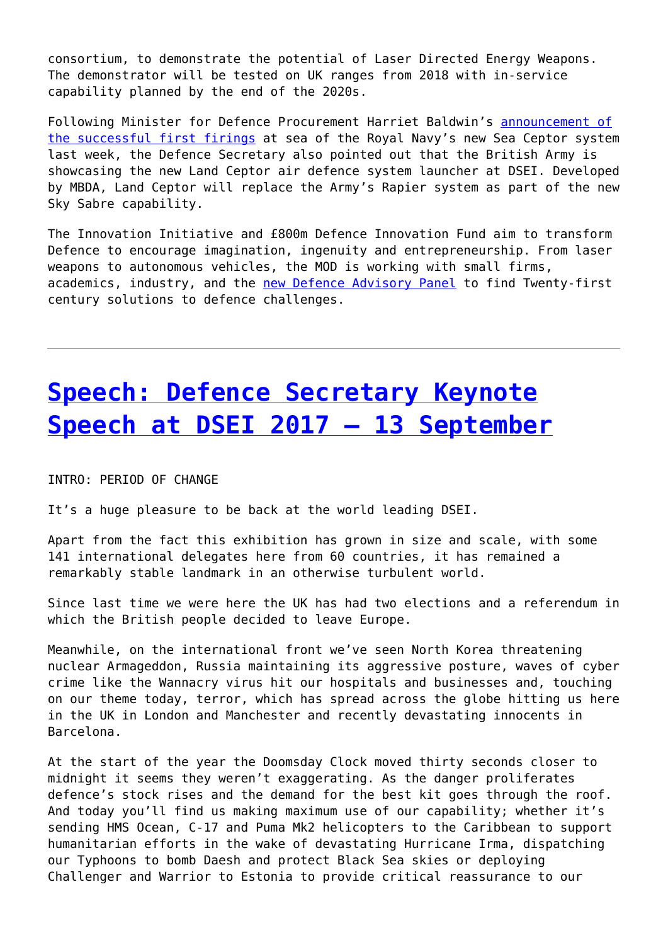consortium, to demonstrate the potential of Laser Directed Energy Weapons. The demonstrator will be tested on UK ranges from 2018 with in-service capability planned by the end of the 2020s.

Following Minister for Defence Procurement Harriet Baldwin's [announcement of](https://www.gov.uk/government/news/defence-minister-announces-successful-first-firings-of-sea-ceptor-missiles-to-protect-new-aircraft-carriers) [the successful first firings](https://www.gov.uk/government/news/defence-minister-announces-successful-first-firings-of-sea-ceptor-missiles-to-protect-new-aircraft-carriers) at sea of the Royal Navy's new Sea Ceptor system last week, the Defence Secretary also pointed out that the British Army is showcasing the new Land Ceptor air defence system launcher at DSEI. Developed by MBDA, Land Ceptor will replace the Army's Rapier system as part of the new Sky Sabre capability.

The Innovation Initiative and £800m Defence Innovation Fund aim to transform Defence to encourage imagination, ingenuity and entrepreneurship. From laser weapons to autonomous vehicles, the MOD is working with small firms, academics, industry, and the [new Defence Advisory Panel](https://www.gov.uk/government/news/defence-secretary-announces-world-class-innovation-panel) to find Twenty-first century solutions to defence challenges.

## **[Speech: Defence Secretary Keynote](http://www.government-world.com/speech-defence-secretary-keynote-speech-at-dsei-2017-13-september/) [Speech at DSEI 2017 – 13 September](http://www.government-world.com/speech-defence-secretary-keynote-speech-at-dsei-2017-13-september/)**

INTRO: PERIOD OF CHANGE

It's a huge pleasure to be back at the world leading DSEI.

Apart from the fact this exhibition has grown in size and scale, with some 141 international delegates here from 60 countries, it has remained a remarkably stable landmark in an otherwise turbulent world.

Since last time we were here the UK has had two elections and a referendum in which the British people decided to leave Europe.

Meanwhile, on the international front we've seen North Korea threatening nuclear Armageddon, Russia maintaining its aggressive posture, waves of cyber crime like the Wannacry virus hit our hospitals and businesses and, touching on our theme today, terror, which has spread across the globe hitting us here in the UK in London and Manchester and recently devastating innocents in Barcelona.

At the start of the year the Doomsday Clock moved thirty seconds closer to midnight it seems they weren't exaggerating. As the danger proliferates defence's stock rises and the demand for the best kit goes through the roof. And today you'll find us making maximum use of our capability; whether it's sending HMS Ocean, C-17 and Puma Mk2 helicopters to the Caribbean to support humanitarian efforts in the wake of devastating Hurricane Irma, dispatching our Typhoons to bomb Daesh and protect Black Sea skies or deploying Challenger and Warrior to Estonia to provide critical reassurance to our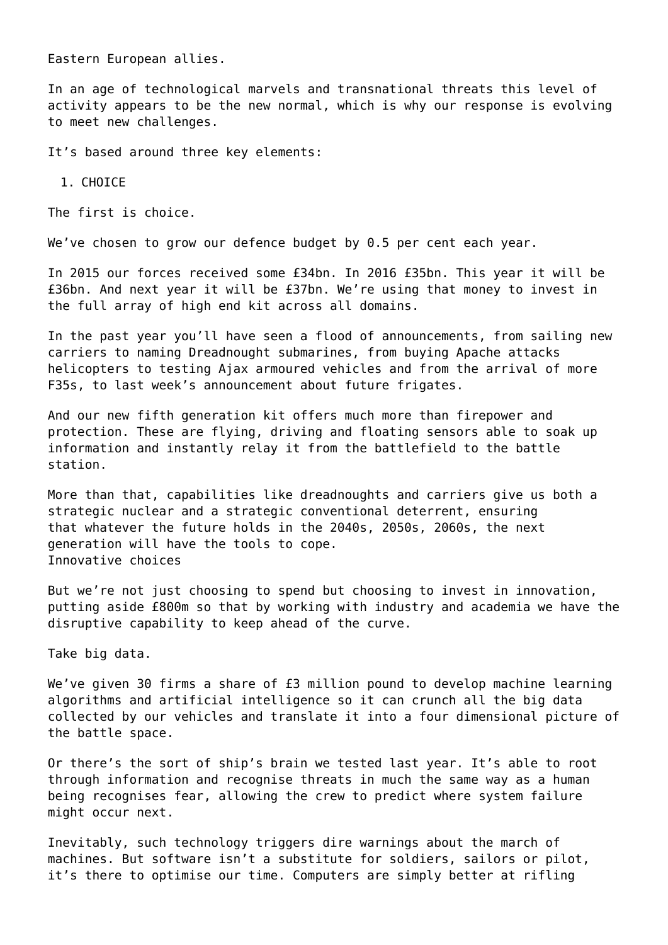Eastern European allies.

In an age of technological marvels and transnational threats this level of activity appears to be the new normal, which is why our response is evolving to meet new challenges.

It's based around three key elements:

1. CHOICE

The first is choice.

We've chosen to grow our defence budget by 0.5 per cent each year.

In 2015 our forces received some £34bn. In 2016 £35bn. This year it will be £36bn. And next year it will be £37bn. We're using that money to invest in the full array of high end kit across all domains.

In the past year you'll have seen a flood of announcements, from sailing new carriers to naming Dreadnought submarines, from buying Apache attacks helicopters to testing Ajax armoured vehicles and from the arrival of more F35s, to last week's announcement about future frigates.

And our new fifth generation kit offers much more than firepower and protection. These are flying, driving and floating sensors able to soak up information and instantly relay it from the battlefield to the battle station.

More than that, capabilities like dreadnoughts and carriers give us both a strategic nuclear and a strategic conventional deterrent, ensuring that whatever the future holds in the 2040s, 2050s, 2060s, the next generation will have the tools to cope. Innovative choices

But we're not just choosing to spend but choosing to invest in innovation, putting aside £800m so that by working with industry and academia we have the disruptive capability to keep ahead of the curve.

Take big data.

We've given 30 firms a share of £3 million pound to develop machine learning algorithms and artificial intelligence so it can crunch all the big data collected by our vehicles and translate it into a four dimensional picture of the battle space.

Or there's the sort of ship's brain we tested last year. It's able to root through information and recognise threats in much the same way as a human being recognises fear, allowing the crew to predict where system failure might occur next.

Inevitably, such technology triggers dire warnings about the march of machines. But software isn't a substitute for soldiers, sailors or pilot, it's there to optimise our time. Computers are simply better at rifling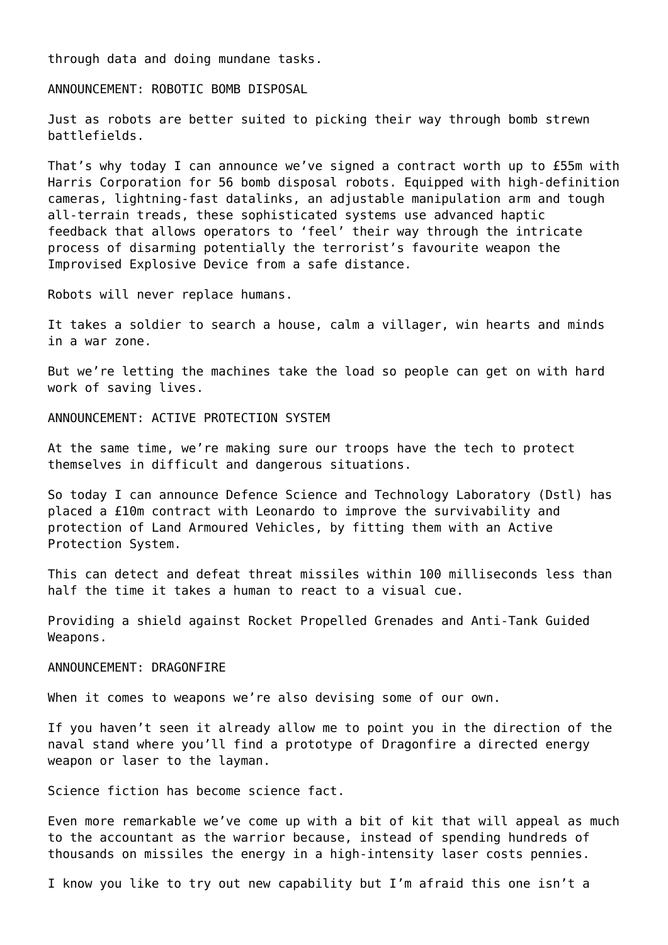through data and doing mundane tasks.

ANNOUNCEMENT: ROBOTIC BOMB DISPOSAL

Just as robots are better suited to picking their way through bomb strewn battlefields.

That's why today I can announce we've signed a contract worth up to £55m with Harris Corporation for 56 bomb disposal robots. Equipped with high-definition cameras, lightning-fast datalinks, an adjustable manipulation arm and tough all-terrain treads, these sophisticated systems use advanced haptic feedback that allows operators to 'feel' their way through the intricate process of disarming potentially the terrorist's favourite weapon the Improvised Explosive Device from a safe distance.

Robots will never replace humans.

It takes a soldier to search a house, calm a villager, win hearts and minds in a war zone.

But we're letting the machines take the load so people can get on with hard work of saving lives.

ANNOUNCEMENT: ACTIVE PROTECTION SYSTEM

At the same time, we're making sure our troops have the tech to protect themselves in difficult and dangerous situations.

So today I can announce Defence Science and Technology Laboratory (Dstl) has placed a £10m contract with Leonardo to improve the survivability and protection of Land Armoured Vehicles, by fitting them with an Active Protection System.

This can detect and defeat threat missiles within 100 milliseconds less than half the time it takes a human to react to a visual cue.

Providing a shield against Rocket Propelled Grenades and Anti-Tank Guided Weapons.

#### ANNOUNCEMENT: DRAGONFIRE

When it comes to weapons we're also devising some of our own.

If you haven't seen it already allow me to point you in the direction of the naval stand where you'll find a prototype of Dragonfire a directed energy weapon or laser to the layman.

Science fiction has become science fact.

Even more remarkable we've come up with a bit of kit that will appeal as much to the accountant as the warrior because, instead of spending hundreds of thousands on missiles the energy in a high-intensity laser costs pennies.

I know you like to try out new capability but I'm afraid this one isn't a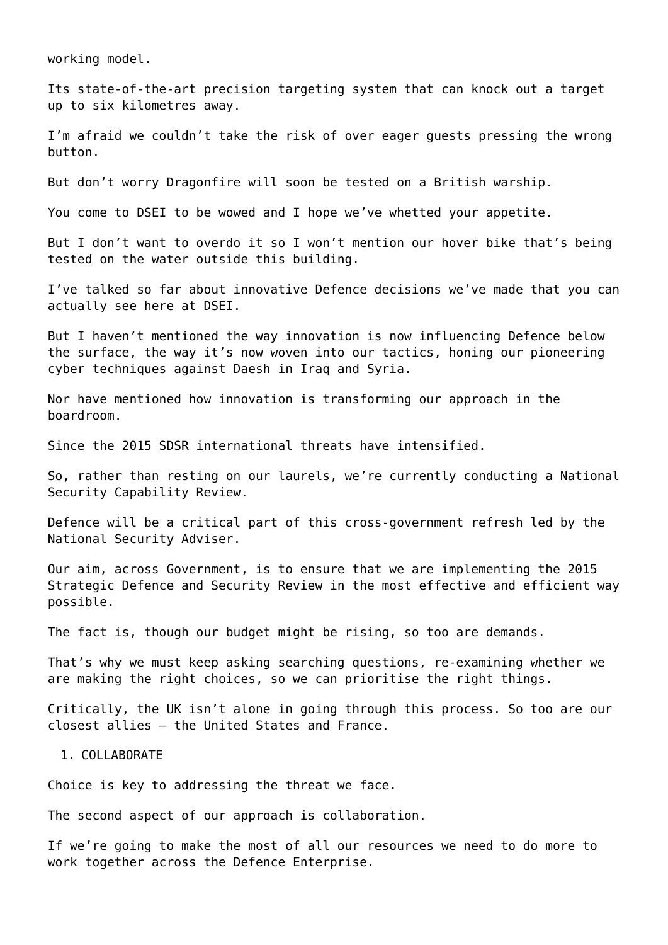working model.

Its state-of-the-art precision targeting system that can knock out a target up to six kilometres away.

I'm afraid we couldn't take the risk of over eager guests pressing the wrong button.

But don't worry Dragonfire will soon be tested on a British warship.

You come to DSEI to be wowed and I hope we've whetted your appetite.

But I don't want to overdo it so I won't mention our hover bike that's being tested on the water outside this building.

I've talked so far about innovative Defence decisions we've made that you can actually see here at DSEI.

But I haven't mentioned the way innovation is now influencing Defence below the surface, the way it's now woven into our tactics, honing our pioneering cyber techniques against Daesh in Iraq and Syria.

Nor have mentioned how innovation is transforming our approach in the boardroom.

Since the 2015 SDSR international threats have intensified.

So, rather than resting on our laurels, we're currently conducting a National Security Capability Review.

Defence will be a critical part of this cross-government refresh led by the National Security Adviser.

Our aim, across Government, is to ensure that we are implementing the 2015 Strategic Defence and Security Review in the most effective and efficient way possible.

The fact is, though our budget might be rising, so too are demands.

That's why we must keep asking searching questions, re-examining whether we are making the right choices, so we can prioritise the right things.

Critically, the UK isn't alone in going through this process. So too are our closest allies – the United States and France.

### 1. COLLABORATE

Choice is key to addressing the threat we face.

The second aspect of our approach is collaboration.

If we're going to make the most of all our resources we need to do more to work together across the Defence Enterprise.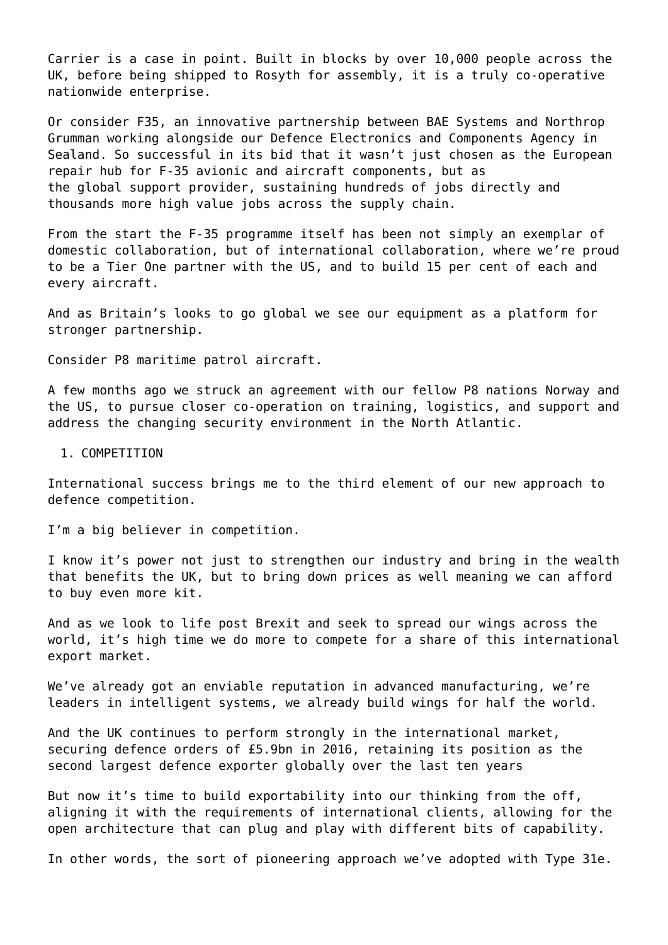Carrier is a case in point. Built in blocks by over 10,000 people across the UK, before being shipped to Rosyth for assembly, it is a truly co-operative nationwide enterprise.

Or consider F35, an innovative partnership between BAE Systems and Northrop Grumman working alongside our Defence Electronics and Components Agency in Sealand. So successful in its bid that it wasn't just chosen as the European repair hub for F-35 avionic and aircraft components, but as the global support provider, sustaining hundreds of jobs directly and thousands more high value jobs across the supply chain.

From the start the F-35 programme itself has been not simply an exemplar of domestic collaboration, but of international collaboration, where we're proud to be a Tier One partner with the US, and to build 15 per cent of each and every aircraft.

And as Britain's looks to go global we see our equipment as a platform for stronger partnership.

Consider P8 maritime patrol aircraft.

A few months ago we struck an agreement with our fellow P8 nations Norway and the US, to pursue closer co-operation on training, logistics, and support and address the changing security environment in the North Atlantic.

#### 1. COMPETITION

International success brings me to the third element of our new approach to defence competition.

I'm a big believer in competition.

I know it's power not just to strengthen our industry and bring in the wealth that benefits the UK, but to bring down prices as well meaning we can afford to buy even more kit.

And as we look to life post Brexit and seek to spread our wings across the world, it's high time we do more to compete for a share of this international export market.

We've already got an enviable reputation in advanced manufacturing, we're leaders in intelligent systems, we already build wings for half the world.

And the UK continues to perform strongly in the international market, securing defence orders of £5.9bn in 2016, retaining its position as the second largest defence exporter globally over the last ten years

But now it's time to build exportability into our thinking from the off, aligning it with the requirements of international clients, allowing for the open architecture that can plug and play with different bits of capability.

In other words, the sort of pioneering approach we've adopted with Type 31e.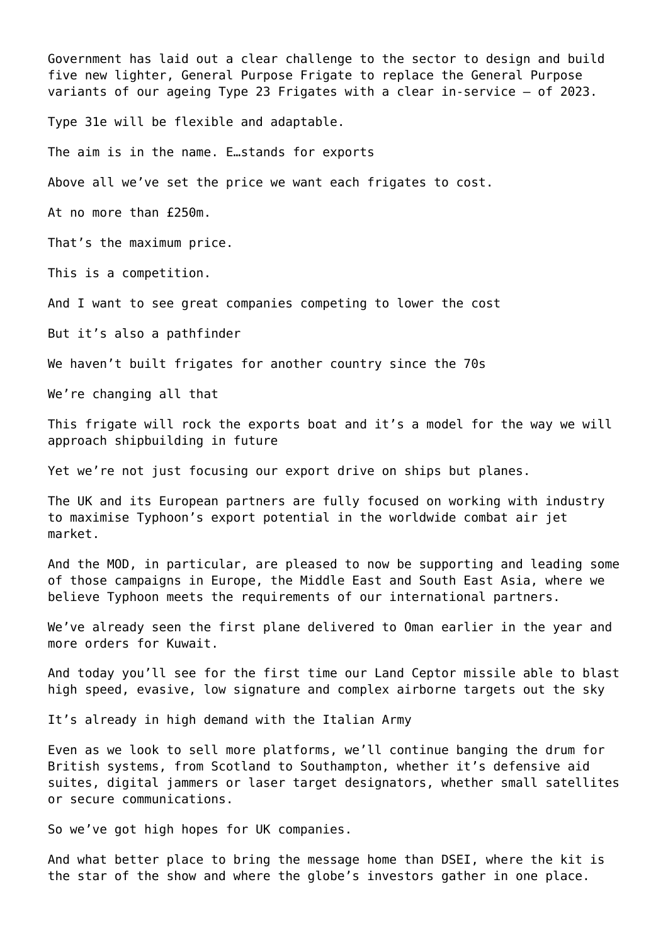Government has laid out a clear challenge to the sector to design and build five new lighter, General Purpose Frigate to replace the General Purpose variants of our ageing Type 23 Frigates with a clear in-service – of 2023.

Type 31e will be flexible and adaptable.

The aim is in the name. E…stands for exports

Above all we've set the price we want each frigates to cost.

At no more than £250m.

That's the maximum price.

This is a competition.

And I want to see great companies competing to lower the cost

But it's also a pathfinder

We haven't built frigates for another country since the 70s

We're changing all that

This frigate will rock the exports boat and it's a model for the way we will approach shipbuilding in future

Yet we're not just focusing our export drive on ships but planes.

The UK and its European partners are fully focused on working with industry to maximise Typhoon's export potential in the worldwide combat air jet market.

And the MOD, in particular, are pleased to now be supporting and leading some of those campaigns in Europe, the Middle East and South East Asia, where we believe Typhoon meets the requirements of our international partners.

We've already seen the first plane delivered to Oman earlier in the year and more orders for Kuwait.

And today you'll see for the first time our Land Ceptor missile able to blast high speed, evasive, low signature and complex airborne targets out the sky

It's already in high demand with the Italian Army

Even as we look to sell more platforms, we'll continue banging the drum for British systems, from Scotland to Southampton, whether it's defensive aid suites, digital jammers or laser target designators, whether small satellites or secure communications.

So we've got high hopes for UK companies.

And what better place to bring the message home than DSEI, where the kit is the star of the show and where the globe's investors gather in one place.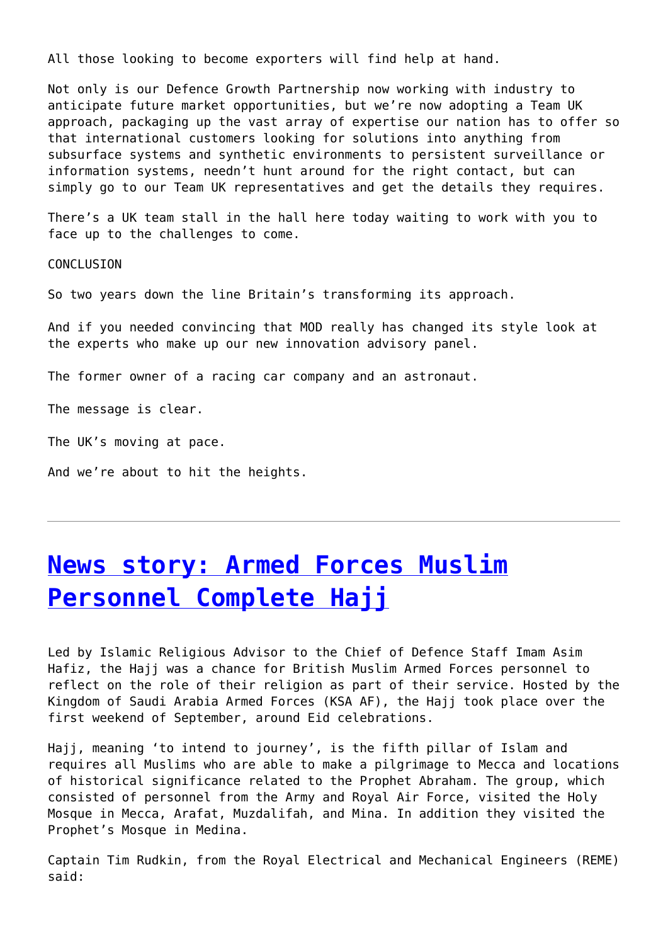All those looking to become exporters will find help at hand.

Not only is our Defence Growth Partnership now working with industry to anticipate future market opportunities, but we're now adopting a Team UK approach, packaging up the vast array of expertise our nation has to offer so that international customers looking for solutions into anything from subsurface systems and synthetic environments to persistent surveillance or information systems, needn't hunt around for the right contact, but can simply go to our Team UK representatives and get the details they requires.

There's a UK team stall in the hall here today waiting to work with you to face up to the challenges to come.

CONCLUSION

So two years down the line Britain's transforming its approach.

And if you needed convincing that MOD really has changed its style look at the experts who make up our new innovation advisory panel.

The former owner of a racing car company and an astronaut.

The message is clear.

The UK's moving at pace.

And we're about to hit the heights.

## **[News story: Armed Forces Muslim](http://www.government-world.com/news-story-armed-forces-muslim-personnel-complete-hajj-2/) [Personnel Complete Hajj](http://www.government-world.com/news-story-armed-forces-muslim-personnel-complete-hajj-2/)**

Led by Islamic Religious Advisor to the Chief of Defence Staff Imam Asim Hafiz, the Hajj was a chance for British Muslim Armed Forces personnel to reflect on the role of their religion as part of their service. Hosted by the Kingdom of Saudi Arabia Armed Forces (KSA AF), the Hajj took place over the first weekend of September, around Eid celebrations.

Hajj, meaning 'to intend to journey', is the fifth pillar of Islam and requires all Muslims who are able to make a pilgrimage to Mecca and locations of historical significance related to the Prophet Abraham. The group, which consisted of personnel from the Army and Royal Air Force, visited the Holy Mosque in Mecca, Arafat, Muzdalifah, and Mina. In addition they visited the Prophet's Mosque in Medina.

Captain Tim Rudkin, from the Royal Electrical and Mechanical Engineers (REME) said: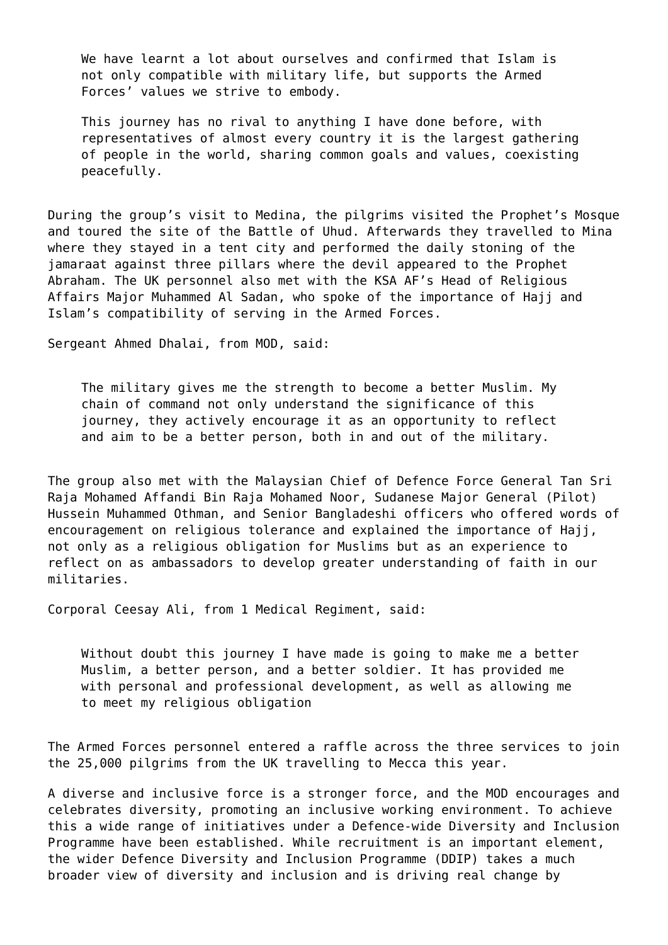We have learnt a lot about ourselves and confirmed that Islam is not only compatible with military life, but supports the Armed Forces' values we strive to embody.

This journey has no rival to anything I have done before, with representatives of almost every country it is the largest gathering of people in the world, sharing common goals and values, coexisting peacefully.

During the group's visit to Medina, the pilgrims visited the Prophet's Mosque and toured the site of the Battle of Uhud. Afterwards they travelled to Mina where they stayed in a tent city and performed the daily stoning of the jamaraat against three pillars where the devil appeared to the Prophet Abraham. The UK personnel also met with the KSA AF's Head of Religious Affairs Major Muhammed Al Sadan, who spoke of the importance of Hajj and Islam's compatibility of serving in the Armed Forces.

Sergeant Ahmed Dhalai, from MOD, said:

The military gives me the strength to become a better Muslim. My chain of command not only understand the significance of this journey, they actively encourage it as an opportunity to reflect and aim to be a better person, both in and out of the military.

The group also met with the Malaysian Chief of Defence Force General Tan Sri Raja Mohamed Affandi Bin Raja Mohamed Noor, Sudanese Major General (Pilot) Hussein Muhammed Othman, and Senior Bangladeshi officers who offered words of encouragement on religious tolerance and explained the importance of Hajj, not only as a religious obligation for Muslims but as an experience to reflect on as ambassadors to develop greater understanding of faith in our militaries.

Corporal Ceesay Ali, from 1 Medical Regiment, said:

Without doubt this journey I have made is going to make me a better Muslim, a better person, and a better soldier. It has provided me with personal and professional development, as well as allowing me to meet my religious obligation

The Armed Forces personnel entered a raffle across the three services to join the 25,000 pilgrims from the UK travelling to Mecca this year.

A diverse and inclusive force is a stronger force, and the MOD encourages and celebrates diversity, promoting an inclusive working environment. To achieve this a wide range of initiatives under a Defence-wide Diversity and Inclusion Programme have been established. While recruitment is an important element, the wider Defence Diversity and Inclusion Programme (DDIP) takes a much broader view of diversity and inclusion and is driving real change by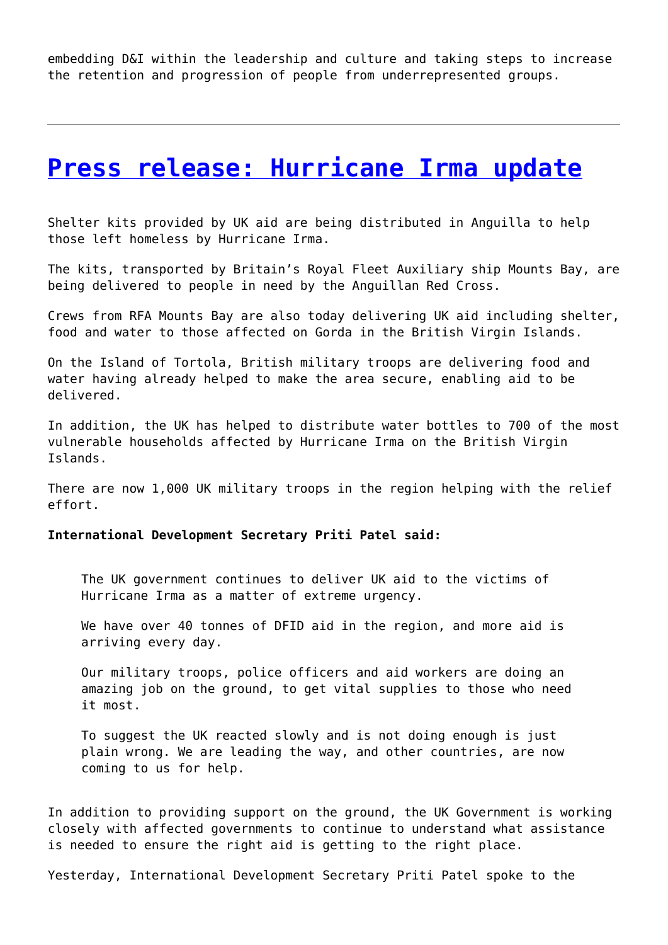embedding D&I within the leadership and culture and taking steps to increase the retention and progression of people from underrepresented groups.

### **[Press release: Hurricane Irma update](http://www.government-world.com/press-release-hurricane-irma-update/)**

Shelter kits provided by UK aid are being distributed in Anguilla to help those left homeless by Hurricane Irma.

The kits, transported by Britain's Royal Fleet Auxiliary ship Mounts Bay, are being delivered to people in need by the Anguillan Red Cross.

Crews from RFA Mounts Bay are also today delivering UK aid including shelter, food and water to those affected on Gorda in the British Virgin Islands.

On the Island of Tortola, British military troops are delivering food and water having already helped to make the area secure, enabling aid to be delivered.

In addition, the UK has helped to distribute water bottles to 700 of the most vulnerable households affected by Hurricane Irma on the British Virgin Islands.

There are now 1,000 UK military troops in the region helping with the relief effort.

#### **International Development Secretary Priti Patel said:**

The UK government continues to deliver UK aid to the victims of Hurricane Irma as a matter of extreme urgency.

We have over 40 tonnes of DFID aid in the region, and more aid is arriving every day.

Our military troops, police officers and aid workers are doing an amazing job on the ground, to get vital supplies to those who need it most.

To suggest the UK reacted slowly and is not doing enough is just plain wrong. We are leading the way, and other countries, are now coming to us for help.

In addition to providing support on the ground, the UK Government is working closely with affected governments to continue to understand what assistance is needed to ensure the right aid is getting to the right place.

Yesterday, International Development Secretary Priti Patel spoke to the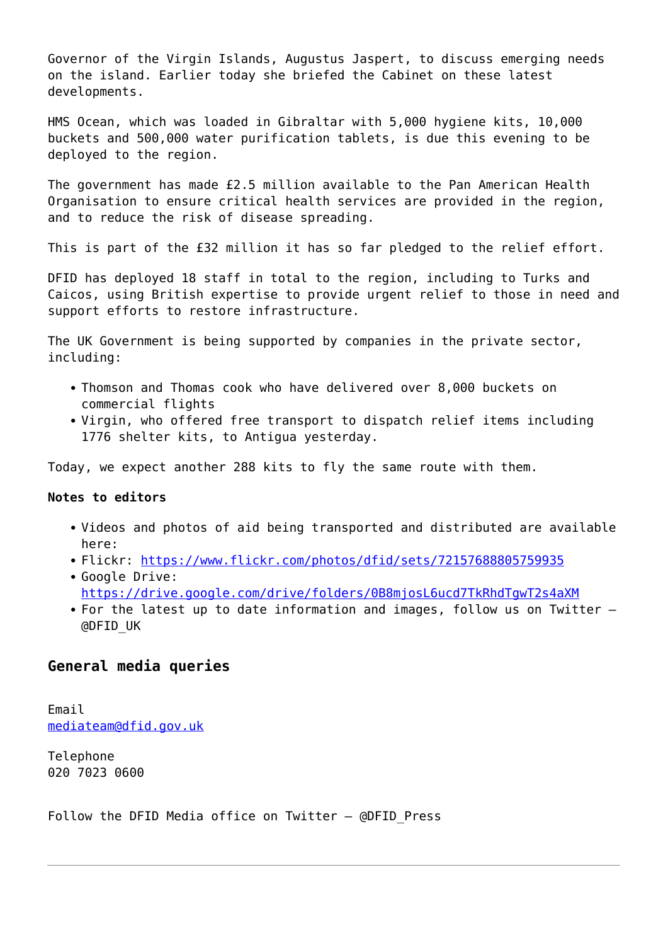Governor of the Virgin Islands, Augustus Jaspert, to discuss emerging needs on the island. Earlier today she briefed the Cabinet on these latest developments.

HMS Ocean, which was loaded in Gibraltar with 5,000 hygiene kits, 10,000 buckets and 500,000 water purification tablets, is due this evening to be deployed to the region.

The government has made £2.5 million available to the Pan American Health Organisation to ensure critical health services are provided in the region, and to reduce the risk of disease spreading.

This is part of the £32 million it has so far pledged to the relief effort.

DFID has deployed 18 staff in total to the region, including to Turks and Caicos, using British expertise to provide urgent relief to those in need and support efforts to restore infrastructure.

The UK Government is being supported by companies in the private sector, including:

- Thomson and Thomas cook who have delivered over 8,000 buckets on commercial flights
- Virgin, who offered free transport to dispatch relief items including 1776 shelter kits, to Antigua yesterday.

Today, we expect another 288 kits to fly the same route with them.

### **Notes to editors**

- Videos and photos of aid being transported and distributed are available here:
- Flickr:<https://www.flickr.com/photos/dfid/sets/72157688805759935>
- Google Drive: <https://drive.google.com/drive/folders/0B8mjosL6ucd7TkRhdTgwT2s4aXM>
- For the latest up to date information and images, follow us on Twitter -@DFID\_UK

### **General media queries**

Email [mediateam@dfid.gov.uk](mailto:mediateam@dfid.gov.uk)

Telephone 020 7023 0600

Follow the DFID Media office on Twitter  $-$  @DFID Press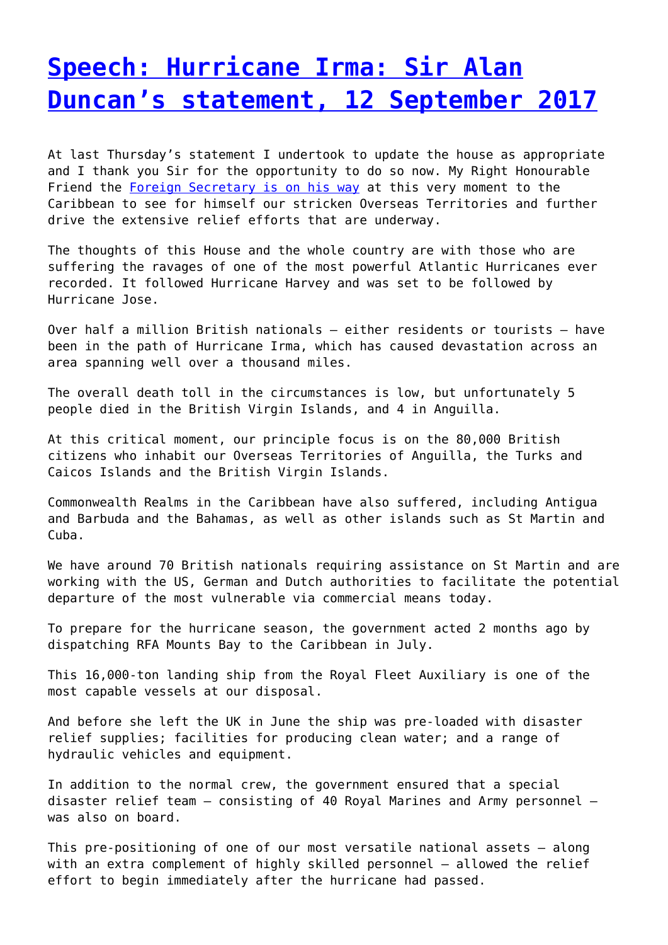## **[Speech: Hurricane Irma: Sir Alan](http://www.government-world.com/speech-hurricane-irma-sir-alan-duncans-statement-12-september-2017/) [Duncan's statement, 12 September 2017](http://www.government-world.com/speech-hurricane-irma-sir-alan-duncans-statement-12-september-2017/)**

At last Thursday's statement I undertook to update the house as appropriate and I thank you Sir for the opportunity to do so now. My Right Honourable Friend the [Foreign Secretary is on his way](https://www.gov.uk/government/news/foreign-secretary-visits-hurricane-hit-islands) at this very moment to the Caribbean to see for himself our stricken Overseas Territories and further drive the extensive relief efforts that are underway.

The thoughts of this House and the whole country are with those who are suffering the ravages of one of the most powerful Atlantic Hurricanes ever recorded. It followed Hurricane Harvey and was set to be followed by Hurricane Jose.

Over half a million British nationals – either residents or tourists – have been in the path of Hurricane Irma, which has caused devastation across an area spanning well over a thousand miles.

The overall death toll in the circumstances is low, but unfortunately 5 people died in the British Virgin Islands, and 4 in Anguilla.

At this critical moment, our principle focus is on the 80,000 British citizens who inhabit our Overseas Territories of Anguilla, the Turks and Caicos Islands and the British Virgin Islands.

Commonwealth Realms in the Caribbean have also suffered, including Antigua and Barbuda and the Bahamas, as well as other islands such as St Martin and Cuba.

We have around 70 British nationals requiring assistance on St Martin and are working with the US, German and Dutch authorities to facilitate the potential departure of the most vulnerable via commercial means today.

To prepare for the hurricane season, the government acted 2 months ago by dispatching RFA Mounts Bay to the Caribbean in July.

This 16,000-ton landing ship from the Royal Fleet Auxiliary is one of the most capable vessels at our disposal.

And before she left the UK in June the ship was pre-loaded with disaster relief supplies; facilities for producing clean water; and a range of hydraulic vehicles and equipment.

In addition to the normal crew, the government ensured that a special disaster relief team – consisting of 40 Royal Marines and Army personnel – was also on board.

This pre-positioning of one of our most versatile national assets – along with an extra complement of highly skilled personnel – allowed the relief effort to begin immediately after the hurricane had passed.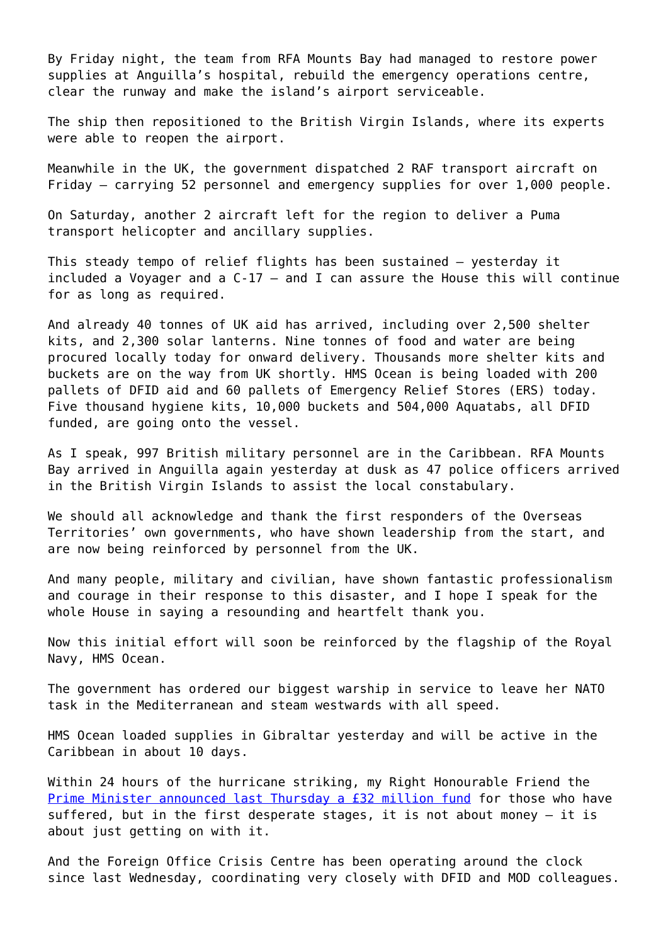By Friday night, the team from RFA Mounts Bay had managed to restore power supplies at Anguilla's hospital, rebuild the emergency operations centre, clear the runway and make the island's airport serviceable.

The ship then repositioned to the British Virgin Islands, where its experts were able to reopen the airport.

Meanwhile in the UK, the government dispatched 2 RAF transport aircraft on Friday – carrying 52 personnel and emergency supplies for over 1,000 people.

On Saturday, another 2 aircraft left for the region to deliver a Puma transport helicopter and ancillary supplies.

This steady tempo of relief flights has been sustained – yesterday it included a Voyager and a C-17 – and I can assure the House this will continue for as long as required.

And already 40 tonnes of UK aid has arrived, including over 2,500 shelter kits, and 2,300 solar lanterns. Nine tonnes of food and water are being procured locally today for onward delivery. Thousands more shelter kits and buckets are on the way from UK shortly. HMS Ocean is being loaded with 200 pallets of DFID aid and 60 pallets of Emergency Relief Stores (ERS) today. Five thousand hygiene kits, 10,000 buckets and 504,000 Aquatabs, all DFID funded, are going onto the vessel.

As I speak, 997 British military personnel are in the Caribbean. RFA Mounts Bay arrived in Anguilla again yesterday at dusk as 47 police officers arrived in the British Virgin Islands to assist the local constabulary.

We should all acknowledge and thank the first responders of the Overseas Territories' own governments, who have shown leadership from the start, and are now being reinforced by personnel from the UK.

And many people, military and civilian, have shown fantastic professionalism and courage in their response to this disaster, and I hope I speak for the whole House in saying a resounding and heartfelt thank you.

Now this initial effort will soon be reinforced by the flagship of the Royal Navy, HMS Ocean.

The government has ordered our biggest warship in service to leave her NATO task in the Mediterranean and steam westwards with all speed.

HMS Ocean loaded supplies in Gibraltar yesterday and will be active in the Caribbean in about 10 days.

Within 24 hours of the hurricane striking, my Right Honourable Friend the [Prime Minister announced last Thursday a £32 million fund](https://www.gov.uk/government/news/pm-statement-on-hurricane-irma-7-sept-2017) for those who have suffered, but in the first desperate stages, it is not about money – it is about just getting on with it.

And the Foreign Office Crisis Centre has been operating around the clock since last Wednesday, coordinating very closely with DFID and MOD colleagues.